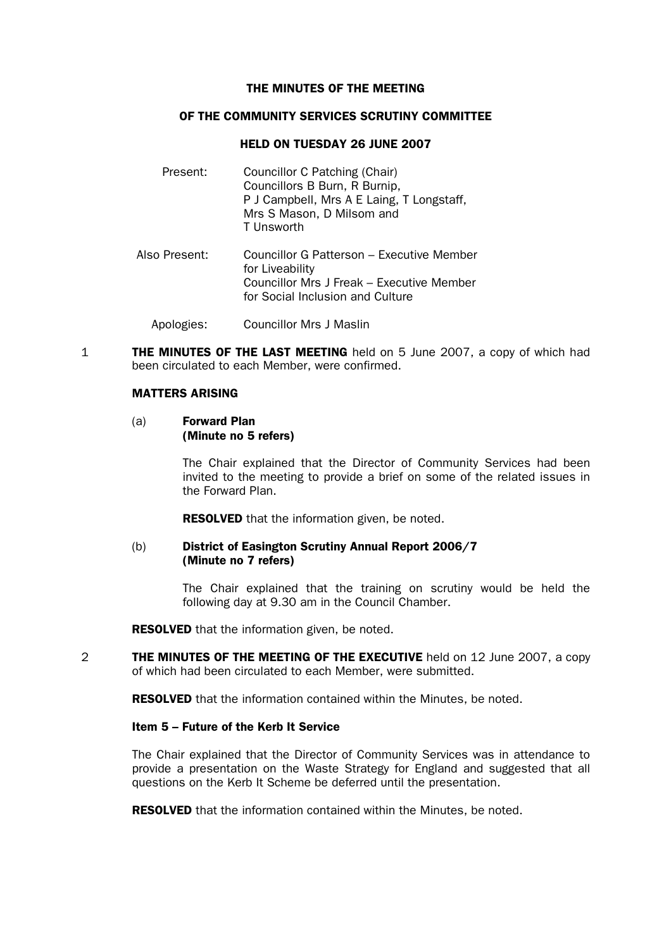#### THE MINUTES OF THE MEETING

## OF THE COMMUNITY SERVICES SCRUTINY COMMITTEE

## HELD ON TUESDAY 26 JUNE 2007

Present: Councillor C Patching (Chair) Councillors B Burn, R Burnip, P J Campbell, Mrs A E Laing, T Longstaff, Mrs S Mason, D Milsom and T Unsworth Also Present: Councillor G Patterson – Executive Member for Liveability Councillor Mrs J Freak – Executive Member for Social Inclusion and Culture

Apologies: Councillor Mrs J Maslin

**1 THE MINUTES OF THE LAST MEETING** held on 5 June 2007, a copy of which had been circulated to each Member, were confirmed.

## MATTERS ARISING

#### (a) Forward Plan (Minute no 5 refers)

The Chair explained that the Director of Community Services had been invited to the meeting to provide a brief on some of the related issues in the Forward Plan.

**RESOLVED** that the information given, be noted.

## (b) District of Easington Scrutiny Annual Report 2006/7 (Minute no 7 refers)

 The Chair explained that the training on scrutiny would be held the following day at 9.30 am in the Council Chamber.

**RESOLVED** that the information given, be noted.

2 THE MINUTES OF THE MEETING OF THE EXECUTIVE held on 12 June 2007, a copy of which had been circulated to each Member, were submitted.

RESOLVED that the information contained within the Minutes, be noted.

## Item 5 – Future of the Kerb It Service

 The Chair explained that the Director of Community Services was in attendance to provide a presentation on the Waste Strategy for England and suggested that all questions on the Kerb It Scheme be deferred until the presentation.

**RESOLVED** that the information contained within the Minutes, be noted.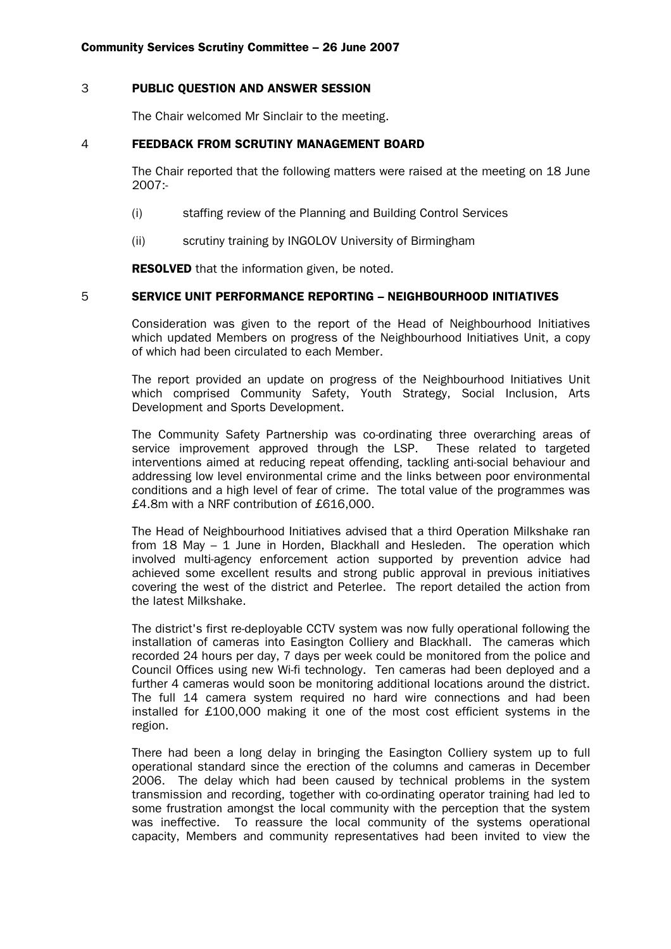#### 3 PUBLIC QUESTION AND ANSWER SESSION

The Chair welcomed Mr Sinclair to the meeting.

## 4 FEEDBACK FROM SCRUTINY MANAGEMENT BOARD

 The Chair reported that the following matters were raised at the meeting on 18 June 2007:-

- (i) staffing review of the Planning and Building Control Services
- (ii) scrutiny training by INGOLOV University of Birmingham

**RESOLVED** that the information given, be noted.

## 5 SERVICE UNIT PERFORMANCE REPORTING – NEIGHBOURHOOD INITIATIVES

 Consideration was given to the report of the Head of Neighbourhood Initiatives which updated Members on progress of the Neighbourhood Initiatives Unit, a copy of which had been circulated to each Member.

 The report provided an update on progress of the Neighbourhood Initiatives Unit which comprised Community Safety, Youth Strategy, Social Inclusion, Arts Development and Sports Development.

 The Community Safety Partnership was co-ordinating three overarching areas of service improvement approved through the LSP. These related to targeted interventions aimed at reducing repeat offending, tackling anti-social behaviour and addressing low level environmental crime and the links between poor environmental conditions and a high level of fear of crime. The total value of the programmes was £4.8m with a NRF contribution of £616,000.

 The Head of Neighbourhood Initiatives advised that a third Operation Milkshake ran from 18 May – 1 June in Horden, Blackhall and Hesleden. The operation which involved multi-agency enforcement action supported by prevention advice had achieved some excellent results and strong public approval in previous initiatives covering the west of the district and Peterlee. The report detailed the action from the latest Milkshake.

 The district's first re-deployable CCTV system was now fully operational following the installation of cameras into Easington Colliery and Blackhall. The cameras which recorded 24 hours per day, 7 days per week could be monitored from the police and Council Offices using new Wi-fi technology. Ten cameras had been deployed and a further 4 cameras would soon be monitoring additional locations around the district. The full 14 camera system required no hard wire connections and had been installed for £100,000 making it one of the most cost efficient systems in the region.

 There had been a long delay in bringing the Easington Colliery system up to full operational standard since the erection of the columns and cameras in December 2006. The delay which had been caused by technical problems in the system transmission and recording, together with co-ordinating operator training had led to some frustration amongst the local community with the perception that the system was ineffective. To reassure the local community of the systems operational capacity, Members and community representatives had been invited to view the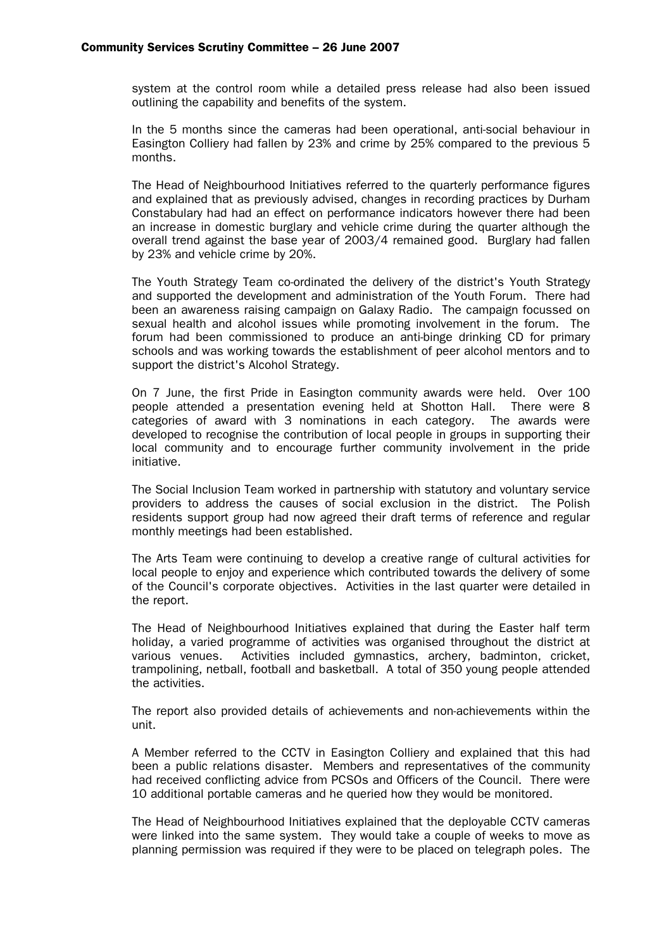system at the control room while a detailed press release had also been issued outlining the capability and benefits of the system.

 In the 5 months since the cameras had been operational, anti-social behaviour in Easington Colliery had fallen by 23% and crime by 25% compared to the previous 5 months.

 The Head of Neighbourhood Initiatives referred to the quarterly performance figures and explained that as previously advised, changes in recording practices by Durham Constabulary had had an effect on performance indicators however there had been an increase in domestic burglary and vehicle crime during the quarter although the overall trend against the base year of 2003/4 remained good. Burglary had fallen by 23% and vehicle crime by 20%.

 The Youth Strategy Team co-ordinated the delivery of the district's Youth Strategy and supported the development and administration of the Youth Forum. There had been an awareness raising campaign on Galaxy Radio. The campaign focussed on sexual health and alcohol issues while promoting involvement in the forum. The forum had been commissioned to produce an anti-binge drinking CD for primary schools and was working towards the establishment of peer alcohol mentors and to support the district's Alcohol Strategy.

 On 7 June, the first Pride in Easington community awards were held. Over 100 people attended a presentation evening held at Shotton Hall. There were 8 categories of award with 3 nominations in each category. The awards were developed to recognise the contribution of local people in groups in supporting their local community and to encourage further community involvement in the pride initiative.

 The Social Inclusion Team worked in partnership with statutory and voluntary service providers to address the causes of social exclusion in the district. The Polish residents support group had now agreed their draft terms of reference and regular monthly meetings had been established.

 The Arts Team were continuing to develop a creative range of cultural activities for local people to enjoy and experience which contributed towards the delivery of some of the Council's corporate objectives. Activities in the last quarter were detailed in the report.

 The Head of Neighbourhood Initiatives explained that during the Easter half term holiday, a varied programme of activities was organised throughout the district at various venues. Activities included gymnastics, archery, badminton, cricket, trampolining, netball, football and basketball. A total of 350 young people attended the activities.

 The report also provided details of achievements and non-achievements within the unit.

 A Member referred to the CCTV in Easington Colliery and explained that this had been a public relations disaster. Members and representatives of the community had received conflicting advice from PCSOs and Officers of the Council. There were 10 additional portable cameras and he queried how they would be monitored.

 The Head of Neighbourhood Initiatives explained that the deployable CCTV cameras were linked into the same system. They would take a couple of weeks to move as planning permission was required if they were to be placed on telegraph poles. The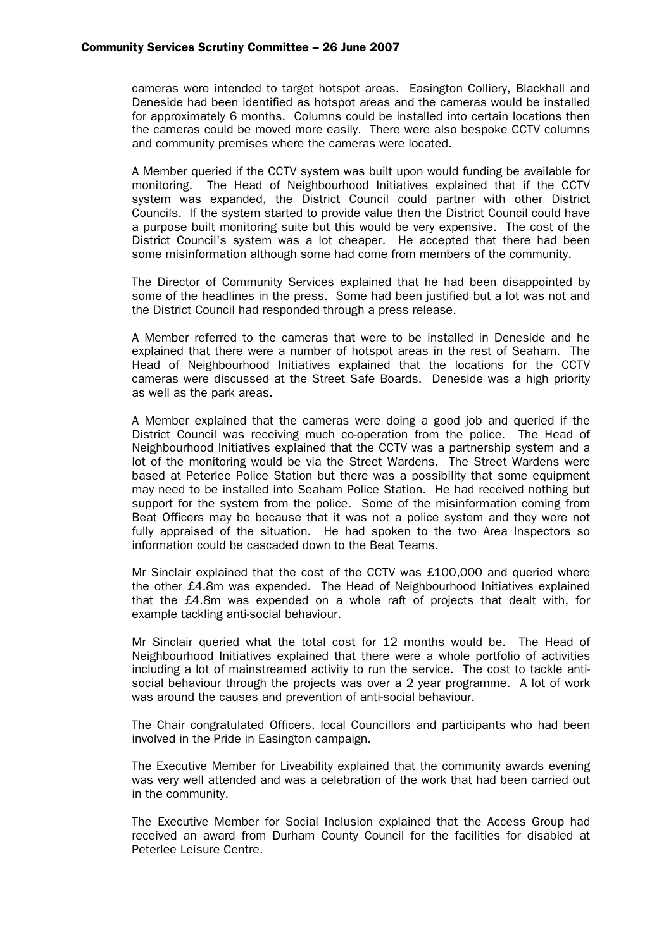cameras were intended to target hotspot areas. Easington Colliery, Blackhall and Deneside had been identified as hotspot areas and the cameras would be installed for approximately 6 months. Columns could be installed into certain locations then the cameras could be moved more easily. There were also bespoke CCTV columns and community premises where the cameras were located.

 A Member queried if the CCTV system was built upon would funding be available for monitoring. The Head of Neighbourhood Initiatives explained that if the CCTV system was expanded, the District Council could partner with other District Councils. If the system started to provide value then the District Council could have a purpose built monitoring suite but this would be very expensive. The cost of the District Council's system was a lot cheaper. He accepted that there had been some misinformation although some had come from members of the community.

 The Director of Community Services explained that he had been disappointed by some of the headlines in the press. Some had been justified but a lot was not and the District Council had responded through a press release.

 A Member referred to the cameras that were to be installed in Deneside and he explained that there were a number of hotspot areas in the rest of Seaham. The Head of Neighbourhood Initiatives explained that the locations for the CCTV cameras were discussed at the Street Safe Boards. Deneside was a high priority as well as the park areas.

 A Member explained that the cameras were doing a good job and queried if the District Council was receiving much co-operation from the police. The Head of Neighbourhood Initiatives explained that the CCTV was a partnership system and a lot of the monitoring would be via the Street Wardens. The Street Wardens were based at Peterlee Police Station but there was a possibility that some equipment may need to be installed into Seaham Police Station. He had received nothing but support for the system from the police. Some of the misinformation coming from Beat Officers may be because that it was not a police system and they were not fully appraised of the situation. He had spoken to the two Area Inspectors so information could be cascaded down to the Beat Teams.

 Mr Sinclair explained that the cost of the CCTV was £100,000 and queried where the other £4.8m was expended. The Head of Neighbourhood Initiatives explained that the £4.8m was expended on a whole raft of projects that dealt with, for example tackling anti-social behaviour.

 Mr Sinclair queried what the total cost for 12 months would be. The Head of Neighbourhood Initiatives explained that there were a whole portfolio of activities including a lot of mainstreamed activity to run the service. The cost to tackle antisocial behaviour through the projects was over a 2 year programme. A lot of work was around the causes and prevention of anti-social behaviour.

 The Chair congratulated Officers, local Councillors and participants who had been involved in the Pride in Easington campaign.

 The Executive Member for Liveability explained that the community awards evening was very well attended and was a celebration of the work that had been carried out in the community.

 The Executive Member for Social Inclusion explained that the Access Group had received an award from Durham County Council for the facilities for disabled at Peterlee Leisure Centre.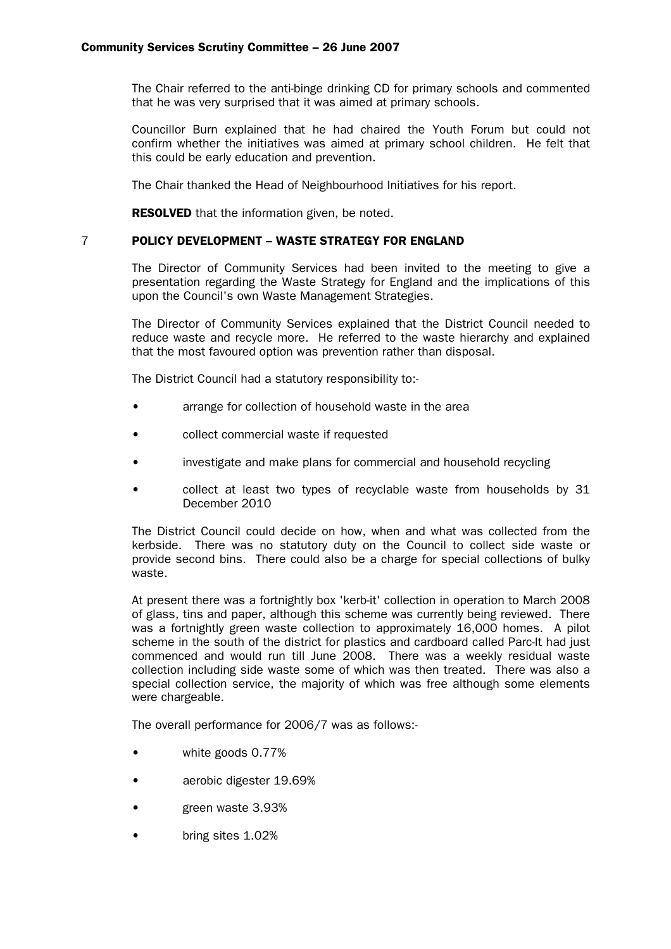The Chair referred to the anti-binge drinking CD for primary schools and commented that he was very surprised that it was aimed at primary schools.

 Councillor Burn explained that he had chaired the Youth Forum but could not confirm whether the initiatives was aimed at primary school children. He felt that this could be early education and prevention.

The Chair thanked the Head of Neighbourhood Initiatives for his report.

**RESOLVED** that the information given, be noted.

# 7 POLICY DEVELOPMENT – WASTE STRATEGY FOR ENGLAND

 The Director of Community Services had been invited to the meeting to give a presentation regarding the Waste Strategy for England and the implications of this upon the Council's own Waste Management Strategies.

 The Director of Community Services explained that the District Council needed to reduce waste and recycle more. He referred to the waste hierarchy and explained that the most favoured option was prevention rather than disposal.

The District Council had a statutory responsibility to:-

- arrange for collection of household waste in the area
- collect commercial waste if requested
- investigate and make plans for commercial and household recycling
- collect at least two types of recyclable waste from households by 31 December 2010

 The District Council could decide on how, when and what was collected from the kerbside. There was no statutory duty on the Council to collect side waste or provide second bins. There could also be a charge for special collections of bulky waste.

 At present there was a fortnightly box 'kerb-it' collection in operation to March 2008 of glass, tins and paper, although this scheme was currently being reviewed. There was a fortnightly green waste collection to approximately 16,000 homes. A pilot scheme in the south of the district for plastics and cardboard called Parc-It had just commenced and would run till June 2008. There was a weekly residual waste collection including side waste some of which was then treated. There was also a special collection service, the majority of which was free although some elements were chargeable.

The overall performance for 2006/7 was as follows:-

- white goods 0.77%
- aerobic digester 19.69%
- green waste 3.93%
- bring sites 1.02%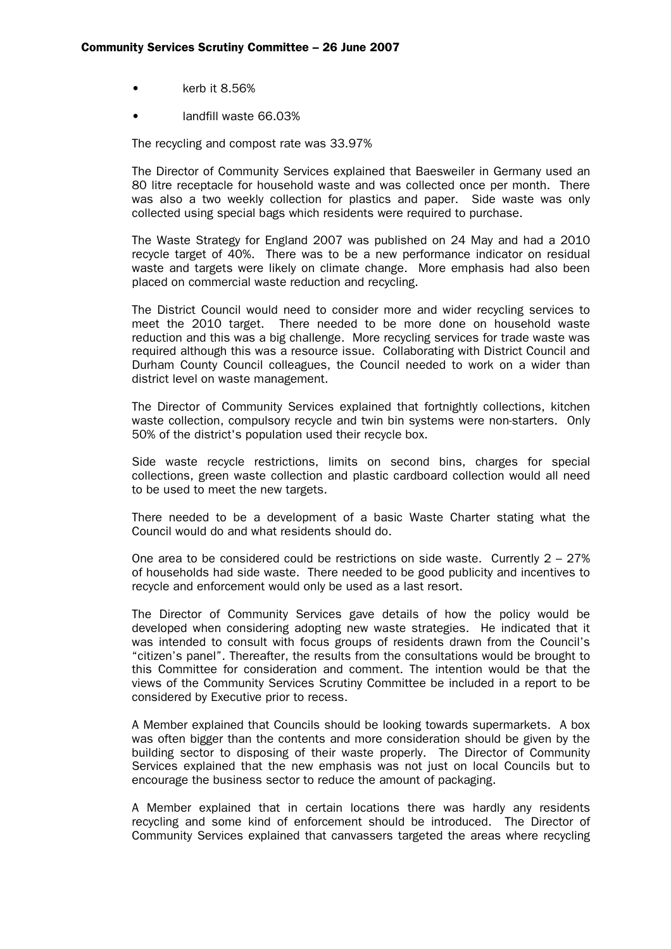- kerb it 8.56%
- landfill waste 66.03%

The recycling and compost rate was 33.97%

 The Director of Community Services explained that Baesweiler in Germany used an 80 litre receptacle for household waste and was collected once per month. There was also a two weekly collection for plastics and paper. Side waste was only collected using special bags which residents were required to purchase.

 The Waste Strategy for England 2007 was published on 24 May and had a 2010 recycle target of 40%. There was to be a new performance indicator on residual waste and targets were likely on climate change. More emphasis had also been placed on commercial waste reduction and recycling.

 The District Council would need to consider more and wider recycling services to meet the 2010 target. There needed to be more done on household waste reduction and this was a big challenge. More recycling services for trade waste was required although this was a resource issue. Collaborating with District Council and Durham County Council colleagues, the Council needed to work on a wider than district level on waste management.

 The Director of Community Services explained that fortnightly collections, kitchen waste collection, compulsory recycle and twin bin systems were non-starters. Only 50% of the district's population used their recycle box.

 Side waste recycle restrictions, limits on second bins, charges for special collections, green waste collection and plastic cardboard collection would all need to be used to meet the new targets.

 There needed to be a development of a basic Waste Charter stating what the Council would do and what residents should do.

One area to be considered could be restrictions on side waste. Currently  $2 - 27\%$ of households had side waste. There needed to be good publicity and incentives to recycle and enforcement would only be used as a last resort.

 The Director of Community Services gave details of how the policy would be developed when considering adopting new waste strategies. He indicated that it was intended to consult with focus groups of residents drawn from the Council's "citizen's panel". Thereafter, the results from the consultations would be brought to this Committee for consideration and comment. The intention would be that the views of the Community Services Scrutiny Committee be included in a report to be considered by Executive prior to recess.

 A Member explained that Councils should be looking towards supermarkets. A box was often bigger than the contents and more consideration should be given by the building sector to disposing of their waste properly. The Director of Community Services explained that the new emphasis was not just on local Councils but to encourage the business sector to reduce the amount of packaging.

 A Member explained that in certain locations there was hardly any residents recycling and some kind of enforcement should be introduced. The Director of Community Services explained that canvassers targeted the areas where recycling